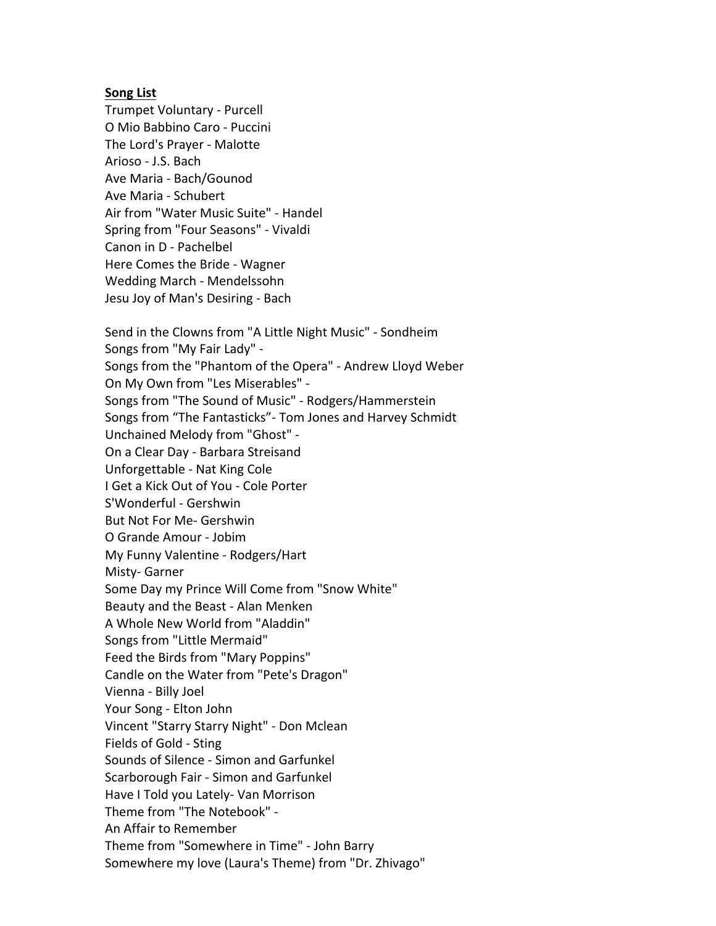## **Song List**

Trumpet Voluntary - Purcell O Mio Babbino Caro - Puccini The Lord's Prayer - Malotte Arioso - J.S. Bach Ave Maria - Bach/Gounod Ave Maria - Schubert Air from "Water Music Suite" - Handel Spring from "Four Seasons" - Vivaldi Canon in D - Pachelbel Here Comes the Bride - Wagner Wedding March - Mendelssohn Jesu Joy of Man's Desiring - Bach

Send in the Clowns from "A Little Night Music" - Sondheim Songs from "My Fair Lady" -Songs from the "Phantom of the Opera" - Andrew Lloyd Weber On My Own from "Les Miserables" -Songs from "The Sound of Music" - Rodgers/Hammerstein Songs from "The Fantasticks"- Tom Jones and Harvey Schmidt Unchained Melody from "Ghost" -On a Clear Day - Barbara Streisand Unforgettable - Nat King Cole I Get a Kick Out of You - Cole Porter S'Wonderful - Gershwin But Not For Me- Gershwin O Grande Amour - Jobim My Funny Valentine - Rodgers/Hart Misty- Garner Some Day my Prince Will Come from "Snow White" Beauty and the Beast - Alan Menken A Whole New World from "Aladdin" Songs from "Little Mermaid" Feed the Birds from "Mary Poppins" Candle on the Water from "Pete's Dragon" Vienna - Billy Joel Your Song - Elton John Vincent "Starry Starry Night" - Don Mclean Fields of Gold - Sting Sounds of Silence - Simon and Garfunkel Scarborough Fair - Simon and Garfunkel Have I Told you Lately- Van Morrison Theme from "The Notebook" -An Affair to Remember Theme from "Somewhere in Time" - John Barry Somewhere my love (Laura's Theme) from "Dr. Zhivago"